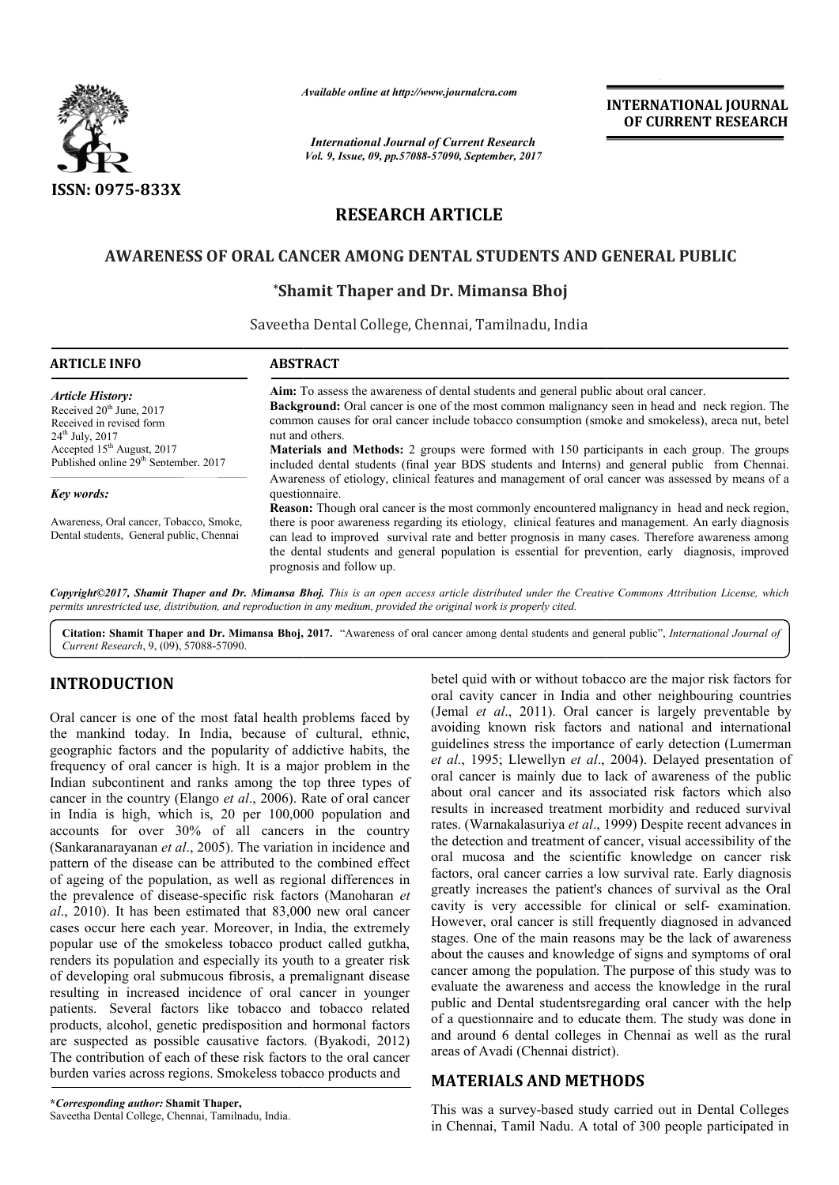

*Available online at http://www.journal http://www.journalcra.com*

*International Journal of Current Research Vol. 9, Issue, 09, pp.57088-57090, September, 2017* **INTERNATIONAL JOURNAL OF CURRENT RESEARCH** 

# **RESEARCH ARTICLE**

## **AWARENESS OF ORAL CANCER AMONG DENTAL STUDENTS AND GENERAL PUBLIC AWARENESS OF ORAL CANCER**

## **\*Shamit Thaper and Dr. Mimansa Bhoj Shamit**

Saveetha Dental College, Chennai, Tamilnadu, India

| <b>ARTICLE INFO</b>                                                                                                          | <b>ABSTRACT</b>                                                                                                                                                                                                                                                                                                                                                                                                                              |
|------------------------------------------------------------------------------------------------------------------------------|----------------------------------------------------------------------------------------------------------------------------------------------------------------------------------------------------------------------------------------------------------------------------------------------------------------------------------------------------------------------------------------------------------------------------------------------|
| <b>Article History:</b><br>Received 20 <sup>th</sup> June, 2017<br>Received in revised form<br>$24^{\text{th}}$ July, $2017$ | <b>Aim:</b> To assess the awareness of dental students and general public about oral cancer.<br><b>Background:</b> Oral cancer is one of the most common malignancy seen in head and neck region. The<br>common causes for oral cancer include tobacco consumption (smoke and smokeless), areca nut, betel<br>nut and others.                                                                                                                |
| Accepted $15th$ August, 2017<br>Published online 29 <sup>th</sup> September, 2017                                            | <b>Materials and Methods:</b> 2 groups were formed with 150 participants in each group. The groups<br>included dental students (final year BDS students and Interns) and general public from Chennai.<br>Awareness of etiology, clinical features and management of oral cancer was assessed by means of a                                                                                                                                   |
| Key words:                                                                                                                   | questionnaire.                                                                                                                                                                                                                                                                                                                                                                                                                               |
| Awareness, Oral cancer, Tobacco, Smoke,<br>Dental students, General public, Chennai                                          | Reason: Though oral cancer is the most commonly encountered malignancy in head and neck region,<br>there is poor awareness regarding its etiology, clinical features and management. An early diagnosis<br>can lead to improved survival rate and better prognosis in many cases. Therefore awareness among<br>the dental students and general population is essential for prevention, early diagnosis, improved<br>prognosis and follow up. |

*Copyright©2017, Shamit Thaper and Dr. Mimansa Bhoj Bhoj. This is an open access article distributed under the Creative Commons Att an open under Commons Attribution License, which permits unrestricted use, distribution, and reproduction in any medium, provided the original work is properly cited.*

Citation: Shamit Thaper and Dr. Mimansa Bhoj, 2017. "Awareness of oral cancer among dental students and general public", *International Journal of Current Research*, 9, (09), 57088-57090.

## **INTRODUCTION**

Oral cancer is one of the most fatal health problems faced by the mankind today. In India, because of cultural, ethnic, geographic factors and the popularity of addictive habits, the frequency of oral cancer is high. It is a major problem in the Indian subcontinent and ranks among the top three types of cancer in the country (Elango *et al*., 2006). Rate of oral cancer in India is high, which is, 20 per 100,000 population and accounts for over 30% of all cancers in the country (Sankaranarayanan *et al*., 2005). The variation in incidence and pattern of the disease can be attributed to the combined effect of ageing of the population, as well as regional differences in the prevalence of disease-specific risk factors (Manoharan et *al*., 2010). It has been estimated that 83,000 new oral cancer cases occur here each year. Moreover, in India, the extremely popular use of the smokeless tobacco product called gutkha, renders its population and especially its youth to a greater risk of developing oral submucous fibrosis, a premalignant disease resulting in increased incidence of oral cancer in younger patients. Several factors like tobacco and tobacco related products, alcohol, genetic predisposition and hormonal factors are suspected as possible causative factors. (Byakodi, 2012) The contribution of each of these risk factors to the oral cancer burden varies across regions. Smokeless tobacco products and igo *et al.*, 2006). Rate of oral cancer<br>is, 20 per 100,000 population and<br>of all cancers in the country<br>005). The variation in incidence and<br>be attributed to the combined effect<br>in, as well as regional differences in<br>spec betel quid with or without tobacco are the major risk factors for oral cavity cancer in India and other neighbouring countries (Jemal *et al*., 2011). Oral cancer is largely preventable by avoiding known risk factors and national and international guidelines stress the importance of early detection ( et al., 1995; Llewellyn et al., 2004). Delayed presentation of oral cancer is mainly due to lack of awareness of the public about oral cancer and its associated risk factors which also results in increased treatment morbidity and reduced survival rates. (Warnakalasuriya et al., 1999) Despite recent advances in the detection and treatment of cancer, visual accessibility of the oral mucosa and the scientific knowledge on cancer risk the detection and treatment of cancer, visual accessibility of the oral mucosa and the scientific knowledge on cancer risk factors, oral cancer carries a low survival rate. Early diagnosis greatly increases the patient's chances of survival as the Oral cavity is very accessible for clinical or self-examination. However, oral cancer is still frequently diagnosed in advanced However, oral cancer is still frequently diagnosed in advanced stages. One of the main reasons may be the lack of awareness about the causes and knowledge of signs and symptoms of oral cancer among the population. The purpose of this study was to evaluate the awareness and access the knowledge in the rural public and Dental studentsregarding oral cancer with the of a questionnaire and to educate them. The study was done in and around 6 dental colleges in Chennai as well as the rural areas of Avadi (Chennai district). oral cavity cancer in India and other neighbouring countries (Jemal *et al.*, 2011). Oral cancer is largely preventable by avoiding known risk factors and national and international guidelines stress the importance of ear the due to lack of awareness of the public<br>and its associated risk factors which also<br>I treatment morbidity and reduced survival about the causes and knowledge of signs and symptoms of oral cancer among the population. The purpose of this study was to evaluate the awareness and access the knowledge in the rural public and Dental studentsregarding or a questionnaire and to educate<br>d around 6 dental colleges in<br>as of Avadi (Chennai district). **INTERNATIONAL JOUENAL OF CURRENT RESEARCH**<br> **OF CURRENT RESEARCH**<br> **OF CURRENT RESEARCH**<br> **OF CURRENT RESEARCH**<br> **OF CURRENT RESEARCH**<br> **OF CURRENT RESEARCH**<br> **OF CURRENT RESEARCH**<br> **OF TURE CONSIDE AND CONSIDE TO THE AS** 

## **MATERIALS AND METHODS METHODS**

This was a survey-based study carried out in Dental Colleges in Chennai, Tamil Nadu. A total of 300 people participated in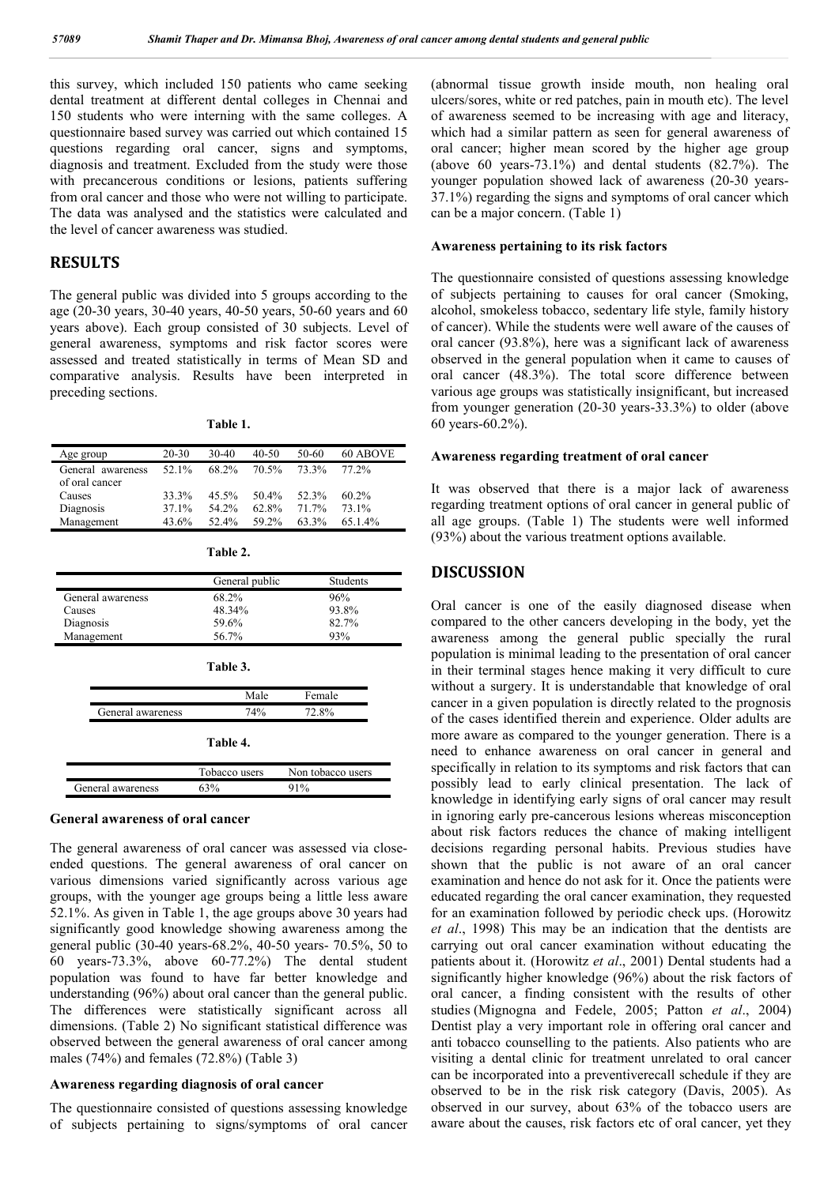this survey, which included 150 patients who came seeking dental treatment at different dental colleges in Chennai and 150 students who were interning with the same colleges. A questionnaire based survey was carried out which contained 15 questions regarding oral cancer, signs and symptoms, diagnosis and treatment. Excluded from the study were those with precancerous conditions or lesions, patients suffering from oral cancer and those who were not willing to participate. The data was analysed and the statistics were calculated and the level of cancer awareness was studied.

### **RESULTS**

The general public was divided into 5 groups according to the age (20-30 years, 30-40 years, 40-50 years, 50-60 years and 60 years above). Each group consisted of 30 subjects. Level of general awareness, symptoms and risk factor scores were assessed and treated statistically in terms of Mean SD and comparative analysis. Results have been interpreted in preceding sections.

**Table 1.**

| Age group                           | 20-30 | 30-40    | $40 - 50$ | 50-60 | 60 ABOVE   |
|-------------------------------------|-------|----------|-----------|-------|------------|
| General awareness<br>of oral cancer | 52.1% | 68.2%    | 70.5%     | 73.3% | 77.2%      |
| Causes                              | 33.3% | $45.5\%$ | 50.4%     | 52.3% | $60.2\%$   |
| Diagnosis                           | 37.1% | 54 2%    | 62.8%     | 71 7% | 73.1%      |
| Management                          | 43.6% | 52.4%    | 59.2%     | 63.3% | $65.1.4\%$ |

|  |  | <b>Table</b> |  |
|--|--|--------------|--|
|--|--|--------------|--|

|                   | General public   | <b>Students</b>   |  |  |  |
|-------------------|------------------|-------------------|--|--|--|
| General awareness | 68.2%            | 96%               |  |  |  |
| Causes            | 48.34%           | 93.8%             |  |  |  |
| Diagnosis         | 59.6%            | 82.7%             |  |  |  |
| Management        | 56.7%            | 93%               |  |  |  |
|                   | Table 3.<br>Male | Female            |  |  |  |
| General awareness | 74%              | 72.8%             |  |  |  |
| Table 4.          |                  |                   |  |  |  |
|                   | Tobacco users    | Non tobacco users |  |  |  |
| General awareness | 63%              | 91%               |  |  |  |

#### **General awareness of oral cancer**

The general awareness of oral cancer was assessed via closeended questions. The general awareness of oral cancer on various dimensions varied significantly across various age groups, with the younger age groups being a little less aware 52.1%. As given in Table 1, the age groups above 30 years had significantly good knowledge showing awareness among the general public (30-40 years-68.2%, 40-50 years- 70.5%, 50 to 60 years-73.3%, above 60-77.2%) The dental student population was found to have far better knowledge and understanding (96%) about oral cancer than the general public. The differences were statistically significant across all dimensions. (Table 2) No significant statistical difference was observed between the general awareness of oral cancer among males (74%) and females (72.8%) (Table 3)

### **Awareness regarding diagnosis of oral cancer**

The questionnaire consisted of questions assessing knowledge of subjects pertaining to signs/symptoms of oral cancer (abnormal tissue growth inside mouth, non healing oral ulcers/sores, white or red patches, pain in mouth etc). The level of awareness seemed to be increasing with age and literacy, which had a similar pattern as seen for general awareness of oral cancer; higher mean scored by the higher age group (above 60 years-73.1%) and dental students  $(82.7\%)$ . The younger population showed lack of awareness (20-30 years-37.1%) regarding the signs and symptoms of oral cancer which can be a major concern. (Table 1)

### **Awareness pertaining to its risk factors**

The questionnaire consisted of questions assessing knowledge of subjects pertaining to causes for oral cancer (Smoking, alcohol, smokeless tobacco, sedentary life style, family history of cancer). While the students were well aware of the causes of oral cancer (93.8%), here was a significant lack of awareness observed in the general population when it came to causes of oral cancer (48.3%). The total score difference between various age groups was statistically insignificant, but increased from younger generation (20-30 years-33.3%) to older (above 60 years-60.2%).

### **Awareness regarding treatment of oral cancer**

It was observed that there is a major lack of awareness regarding treatment options of oral cancer in general public of all age groups. (Table 1) The students were well informed (93%) about the various treatment options available.

### **DISCUSSION**

Oral cancer is one of the easily diagnosed disease when compared to the other cancers developing in the body, yet the awareness among the general public specially the rural population is minimal leading to the presentation of oral cancer in their terminal stages hence making it very difficult to cure without a surgery. It is understandable that knowledge of oral cancer in a given population is directly related to the prognosis of the cases identified therein and experience. Older adults are more aware as compared to the younger generation. There is a need to enhance awareness on oral cancer in general and specifically in relation to its symptoms and risk factors that can possibly lead to early clinical presentation. The lack of knowledge in identifying early signs of oral cancer may result in ignoring early pre-cancerous lesions whereas misconception about risk factors reduces the chance of making intelligent decisions regarding personal habits. Previous studies have shown that the public is not aware of an oral cancer examination and hence do not ask for it. Once the patients were educated regarding the oral cancer examination, they requested for an examination followed by periodic check ups. (Horowitz *et al*., 1998) This may be an indication that the dentists are carrying out oral cancer examination without educating the patients about it. (Horowitz *et al*., 2001) Dental students had a significantly higher knowledge (96%) about the risk factors of oral cancer, a finding consistent with the results of other studies (Mignogna and Fedele, 2005; Patton *et al*., 2004) Dentist play a very important role in offering oral cancer and anti tobacco counselling to the patients. Also patients who are visiting a dental clinic for treatment unrelated to oral cancer can be incorporated into a preventiverecall schedule if they are observed to be in the risk risk category (Davis, 2005). As observed in our survey, about 63% of the tobacco users are aware about the causes, risk factors etc of oral cancer, yet they